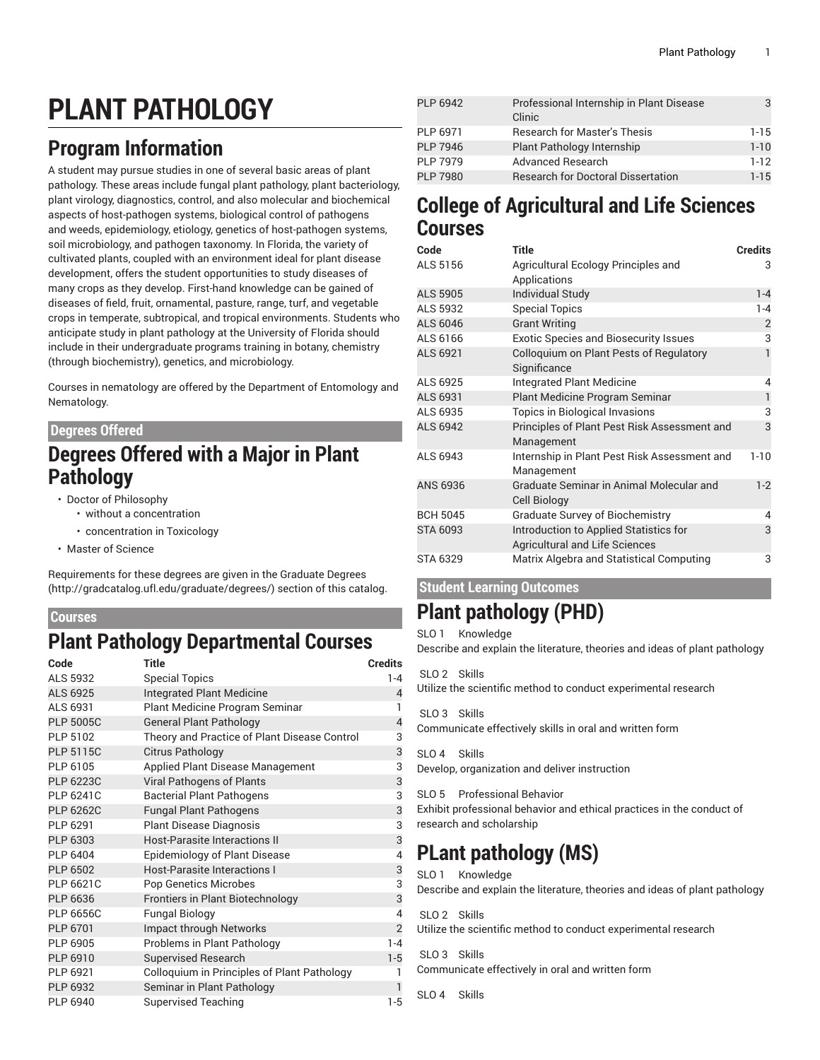# **PLANT PATHOLOGY**

# **Program Information**

A student may pursue studies in one of several basic areas of plant pathology. These areas include fungal plant pathology, plant bacteriology, plant virology, diagnostics, control, and also molecular and biochemical aspects of host-pathogen systems, biological control of pathogens and weeds, epidemiology, etiology, genetics of host-pathogen systems, soil microbiology, and pathogen taxonomy. In Florida, the variety of cultivated plants, coupled with an environment ideal for plant disease development, offers the student opportunities to study diseases of many crops as they develop. First-hand knowledge can be gained of diseases of field, fruit, ornamental, pasture, range, turf, and vegetable crops in temperate, subtropical, and tropical environments. Students who anticipate study in plant pathology at the University of Florida should include in their undergraduate programs training in botany, chemistry (through biochemistry), genetics, and microbiology.

Courses in nematology are offered by the Department of Entomology and Nematology.

#### **Degrees Offered**

### **Degrees Offered with a Major in Plant Pathology**

- Doctor of Philosophy
	- without a concentration
	- concentration in Toxicology
- Master of Science

Requirements for these degrees are given in the [Graduate](http://gradcatalog.ufl.edu/graduate/degrees/) Degrees ([http://gradcatalog.ufl.edu/graduate/degrees/\)](http://gradcatalog.ufl.edu/graduate/degrees/) section of this catalog.

#### **Courses**

### **Plant Pathology Departmental Courses**

| Code             | <b>Title</b>                                 | <b>Credits</b> |
|------------------|----------------------------------------------|----------------|
| ALS 5932         | <b>Special Topics</b>                        | $1 - 4$        |
| ALS 6925         | <b>Integrated Plant Medicine</b>             | $\overline{4}$ |
| ALS 6931         | Plant Medicine Program Seminar               | 1              |
| <b>PLP 5005C</b> | <b>General Plant Pathology</b>               | $\overline{4}$ |
| PLP 5102         | Theory and Practice of Plant Disease Control | 3              |
| <b>PLP 5115C</b> | <b>Citrus Pathology</b>                      | 3              |
| PLP 6105         | Applied Plant Disease Management             | 3              |
| <b>PLP 6223C</b> | Viral Pathogens of Plants                    | 3              |
| <b>PLP 6241C</b> | <b>Bacterial Plant Pathogens</b>             | 3              |
| <b>PLP 6262C</b> | <b>Fungal Plant Pathogens</b>                | 3              |
| PLP 6291         | <b>Plant Disease Diagnosis</b>               | 3              |
| PLP 6303         | <b>Host-Parasite Interactions II</b>         | 3              |
| <b>PLP 6404</b>  | <b>Epidemiology of Plant Disease</b>         | $\overline{4}$ |
| PLP 6502         | <b>Host-Parasite Interactions I</b>          | 3              |
| <b>PLP 6621C</b> | <b>Pop Genetics Microbes</b>                 | 3              |
| PLP 6636         | Frontiers in Plant Biotechnology             | 3              |
| <b>PLP 6656C</b> | <b>Fungal Biology</b>                        | $\overline{4}$ |
| PLP 6701         | Impact through Networks                      | $\overline{2}$ |
| PLP 6905         | Problems in Plant Pathology                  | $1 - 4$        |
| PLP 6910         | <b>Supervised Research</b>                   | $1-5$          |
| PLP 6921         | Colloquium in Principles of Plant Pathology  | 1              |
| PLP 6932         | Seminar in Plant Pathology                   | $\mathbf{1}$   |
| PLP 6940         | <b>Supervised Teaching</b>                   | $1-5$          |

| PLP 6942        | Professional Internship in Plant Disease<br>Clinic |           |
|-----------------|----------------------------------------------------|-----------|
| PLP 6971        | <b>Research for Master's Thesis</b>                | $1 - 1.5$ |
| <b>PLP 7946</b> | Plant Pathology Internship                         | $1 - 10$  |
| <b>PLP 7979</b> | <b>Advanced Research</b>                           | $1-12$    |
| <b>PLP 7980</b> | <b>Research for Doctoral Dissertation</b>          | $1 - 15$  |

### **College of Agricultural and Life Sciences Courses**

| Code            | <b>Title</b>                                                                    | <b>Credits</b> |
|-----------------|---------------------------------------------------------------------------------|----------------|
| ALS 5156        | Agricultural Ecology Principles and                                             | 3              |
|                 | Applications                                                                    |                |
| <b>ALS 5905</b> | <b>Individual Study</b>                                                         | $1 - 4$        |
| ALS 5932        | <b>Special Topics</b>                                                           | $1 - 4$        |
| ALS 6046        | <b>Grant Writing</b>                                                            | $\overline{2}$ |
| ALS 6166        | <b>Exotic Species and Biosecurity Issues</b>                                    | 3              |
| ALS 6921        | Colloquium on Plant Pests of Regulatory<br>Significance                         |                |
| ALS 6925        | <b>Integrated Plant Medicine</b>                                                | 4              |
| ALS 6931        | Plant Medicine Program Seminar                                                  | 1              |
| ALS 6935        | <b>Topics in Biological Invasions</b>                                           | 3              |
| <b>ALS 6942</b> | Principles of Plant Pest Risk Assessment and<br>Management                      | 3              |
| ALS 6943        | Internship in Plant Pest Risk Assessment and<br>Management                      | $1 - 10$       |
| ANS 6936        | Graduate Seminar in Animal Molecular and<br><b>Cell Biology</b>                 | $1-2$          |
| <b>BCH 5045</b> | <b>Graduate Survey of Biochemistry</b>                                          | 4              |
| STA 6093        | Introduction to Applied Statistics for<br><b>Agricultural and Life Sciences</b> | 3              |
| STA 6329        | Matrix Algebra and Statistical Computing                                        | 3              |

#### **Student Learning Outcomes**

### **Plant pathology (PHD)**

SLO 1 Knowledge Describe and explain the literature, theories and ideas of plant pathology

#### SLO<sub>2</sub> Skills

Utilize the scientific method to conduct experimental research

SLO 3 Skills

Communicate effectively skills in oral and written form

SLO 4 Skills Develop, organization and deliver instruction

SLO 5 Professional Behavior

Exhibit professional behavior and ethical practices in the conduct of research and scholarship

## **PLant pathology (MS)**

SLO 1 Knowledge Describe and explain the literature, theories and ideas of plant pathology

SLO 2 Skills Utilize the scientific method to conduct experimental research

SLO<sub>3</sub> Skills Communicate effectively in oral and written form

 $SI$  0.4 Skills